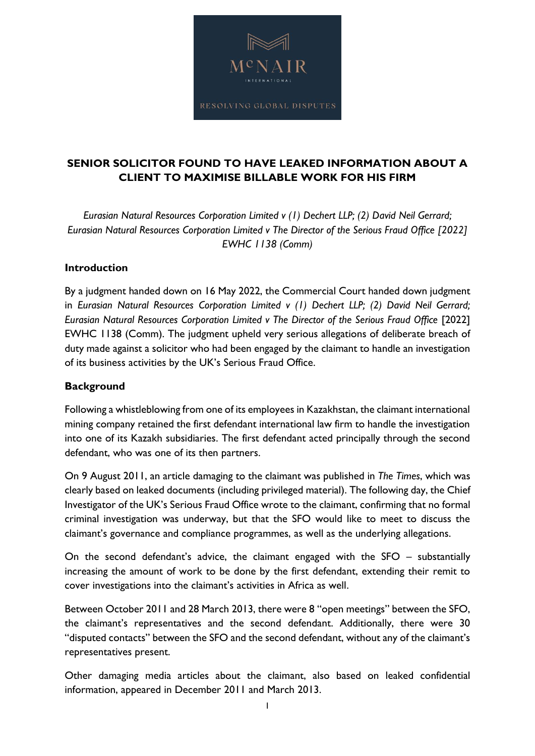

# **SENIOR SOLICITOR FOUND TO HAVE LEAKED INFORMATION ABOUT A CLIENT TO MAXIMISE BILLABLE WORK FOR HIS FIRM**

*Eurasian Natural Resources Corporation Limited v (1) Dechert LLP; (2) David Neil Gerrard; Eurasian Natural Resources Corporation Limited v The Director of the Serious Fraud Office [2022] EWHC 1138 (Comm)*

### **Introduction**

By a judgment handed down on 16 May 2022, the Commercial Court handed down judgment in *Eurasian Natural Resources Corporation Limited v (1) Dechert LLP; (2) David Neil Gerrard; Eurasian Natural Resources Corporation Limited v The Director of the Serious Fraud Office* [2022] EWHC 1138 (Comm). The judgment upheld very serious allegations of deliberate breach of duty made against a solicitor who had been engaged by the claimant to handle an investigation of its business activities by the UK's Serious Fraud Office.

#### **Background**

Following a whistleblowing from one of its employees in Kazakhstan, the claimant international mining company retained the first defendant international law firm to handle the investigation into one of its Kazakh subsidiaries. The first defendant acted principally through the second defendant, who was one of its then partners.

On 9 August 2011, an article damaging to the claimant was published in *The Times*, which was clearly based on leaked documents (including privileged material). The following day, the Chief Investigator of the UK's Serious Fraud Office wrote to the claimant, confirming that no formal criminal investigation was underway, but that the SFO would like to meet to discuss the claimant's governance and compliance programmes, as well as the underlying allegations.

On the second defendant's advice, the claimant engaged with the SFO – substantially increasing the amount of work to be done by the first defendant, extending their remit to cover investigations into the claimant's activities in Africa as well.

Between October 2011 and 28 March 2013, there were 8 "open meetings" between the SFO, the claimant's representatives and the second defendant. Additionally, there were 30 "disputed contacts" between the SFO and the second defendant, without any of the claimant's representatives present.

Other damaging media articles about the claimant, also based on leaked confidential information, appeared in December 2011 and March 2013.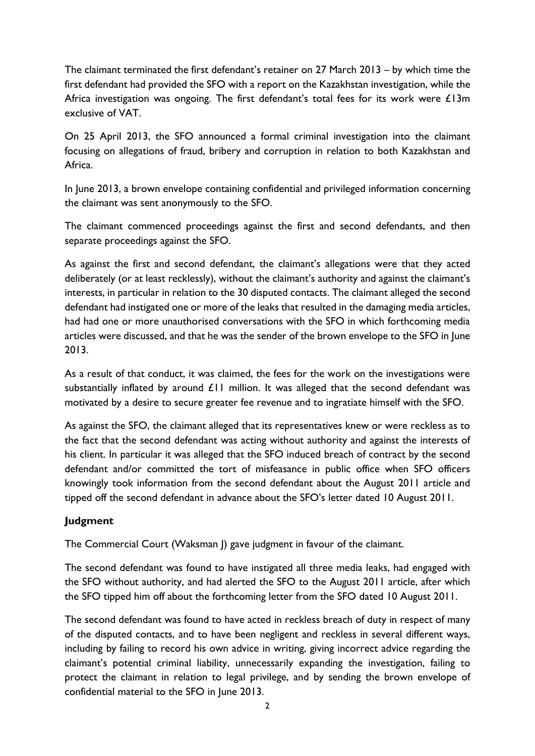The claimant terminated the first defendant's retainer on 27 March 2013 – by which time the first defendant had provided the SFO with a report on the Kazakhstan investigation, while the Africa investigation was ongoing. The first defendant's total fees for its work were £13m exclusive of VAT.

On 25 April 2013, the SFO announced a formal criminal investigation into the claimant focusing on allegations of fraud, bribery and corruption in relation to both Kazakhstan and Africa.

In June 2013, a brown envelope containing confidential and privileged information concerning the claimant was sent anonymously to the SFO.

The claimant commenced proceedings against the first and second defendants, and then separate proceedings against the SFO.

As against the first and second defendant, the claimant's allegations were that they acted deliberately (or at least recklessly), without the claimant's authority and against the claimant's interests, in particular in relation to the 30 disputed contacts. The claimant alleged the second defendant had instigated one or more of the leaks that resulted in the damaging media articles, had had one or more unauthorised conversations with the SFO in which forthcoming media articles were discussed, and that he was the sender of the brown envelope to the SFO in June 2013.

As a result of that conduct, it was claimed, the fees for the work on the investigations were substantially inflated by around  $£11$  million. It was alleged that the second defendant was motivated by a desire to secure greater fee revenue and to ingratiate himself with the SFO.

As against the SFO, the claimant alleged that its representatives knew or were reckless as to the fact that the second defendant was acting without authority and against the interests of his client. In particular it was alleged that the SFO induced breach of contract by the second defendant and/or committed the tort of misfeasance in public office when SFO officers knowingly took information from the second defendant about the August 2011 article and tipped off the second defendant in advance about the SFO's letter dated 10 August 2011.

## **Judgment**

The Commercial Court (Waksman J) gave judgment in favour of the claimant.

The second defendant was found to have instigated all three media leaks, had engaged with the SFO without authority, and had alerted the SFO to the August 2011 article, after which the SFO tipped him off about the forthcoming letter from the SFO dated 10 August 2011.

The second defendant was found to have acted in reckless breach of duty in respect of many of the disputed contacts, and to have been negligent and reckless in several different ways, including by failing to record his own advice in writing, giving incorrect advice regarding the claimant's potential criminal liability, unnecessarily expanding the investigation, failing to protect the claimant in relation to legal privilege, and by sending the brown envelope of confidential material to the SFO in June 2013.